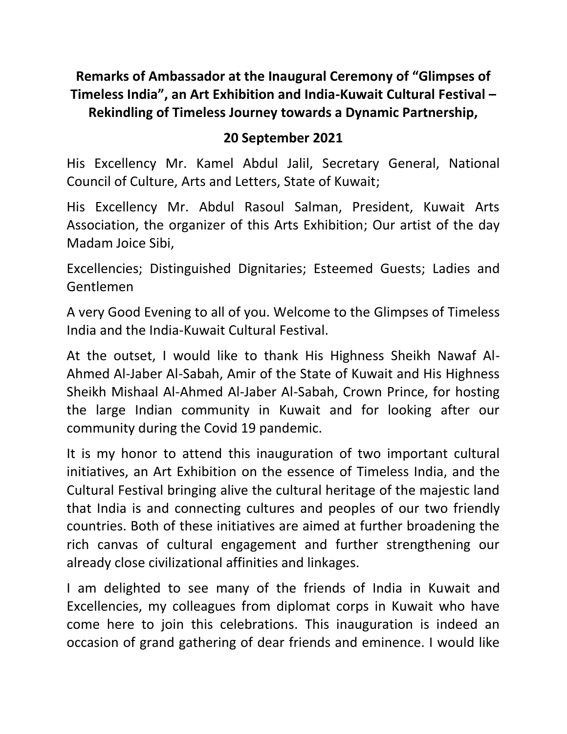# **Remarks of Ambassador at the Inaugural Ceremony of "Glimpses of Timeless India", an Art Exhibition and India-Kuwait Cultural Festival – Rekindling of Timeless Journey towards a Dynamic Partnership,**

#### **20 September 2021**

His Excellency Mr. Kamel Abdul Jalil, Secretary General, National Council of Culture, Arts and Letters, State of Kuwait;

His Excellency Mr. Abdul Rasoul Salman, President, Kuwait Arts Association, the organizer of this Arts Exhibition; Our artist of the day Madam Joice Sibi,

Excellencies; Distinguished Dignitaries; Esteemed Guests; Ladies and Gentlemen

A very Good Evening to all of you. Welcome to the Glimpses of Timeless India and the India-Kuwait Cultural Festival.

At the outset, I would like to thank His Highness Sheikh Nawaf Al-Ahmed Al-Jaber Al-Sabah, Amir of the State of Kuwait and His Highness Sheikh Mishaal Al-Ahmed Al-Jaber Al-Sabah, Crown Prince, for hosting the large Indian community in Kuwait and for looking after our community during the Covid 19 pandemic.

It is my honor to attend this inauguration of two important cultural initiatives, an Art Exhibition on the essence of Timeless India, and the Cultural Festival bringing alive the cultural heritage of the majestic land that India is and connecting cultures and peoples of our two friendly countries. Both of these initiatives are aimed at further broadening the rich canvas of cultural engagement and further strengthening our already close civilizational affinities and linkages.

I am delighted to see many of the friends of India in Kuwait and Excellencies, my colleagues from diplomat corps in Kuwait who have come here to join this celebrations. This inauguration is indeed an occasion of grand gathering of dear friends and eminence. I would like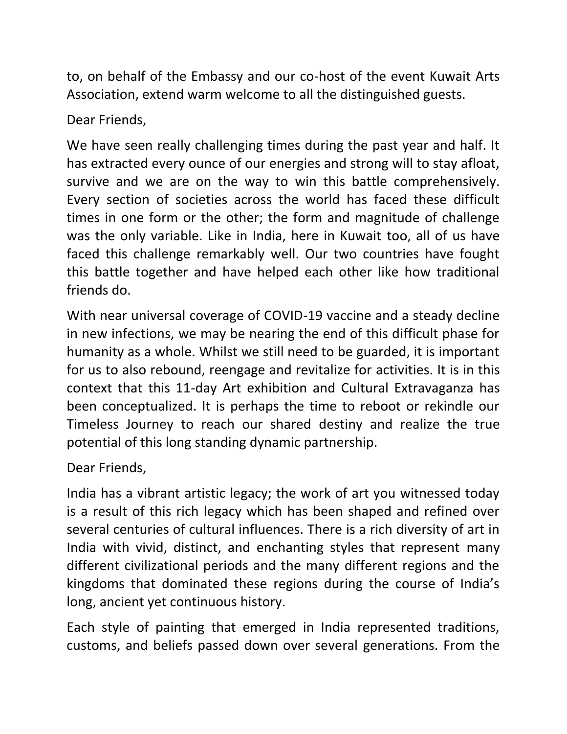to, on behalf of the Embassy and our co-host of the event Kuwait Arts Association, extend warm welcome to all the distinguished guests.

### Dear Friends,

We have seen really challenging times during the past year and half. It has extracted every ounce of our energies and strong will to stay afloat, survive and we are on the way to win this battle comprehensively. Every section of societies across the world has faced these difficult times in one form or the other; the form and magnitude of challenge was the only variable. Like in India, here in Kuwait too, all of us have faced this challenge remarkably well. Our two countries have fought this battle together and have helped each other like how traditional friends do.

With near universal coverage of COVID-19 vaccine and a steady decline in new infections, we may be nearing the end of this difficult phase for humanity as a whole. Whilst we still need to be guarded, it is important for us to also rebound, reengage and revitalize for activities. It is in this context that this 11-day Art exhibition and Cultural Extravaganza has been conceptualized. It is perhaps the time to reboot or rekindle our Timeless Journey to reach our shared destiny and realize the true potential of this long standing dynamic partnership.

## Dear Friends,

India has a vibrant artistic legacy; the work of art you witnessed today is a result of this rich legacy which has been shaped and refined over several centuries of cultural influences. There is a rich diversity of art in India with vivid, distinct, and enchanting styles that represent many different civilizational periods and the many different regions and the kingdoms that dominated these regions during the course of India's long, ancient yet continuous history.

Each style of painting that emerged in India represented traditions, customs, and beliefs passed down over several generations. From the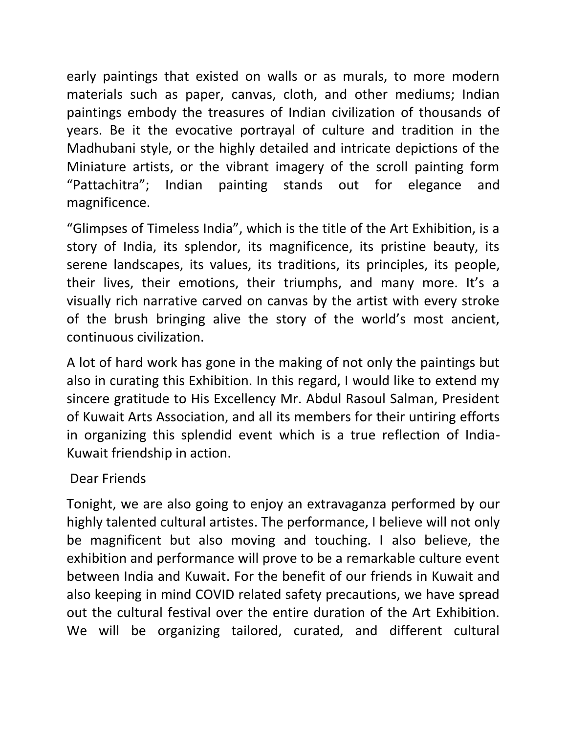early paintings that existed on walls or as murals, to more modern materials such as paper, canvas, cloth, and other mediums; Indian paintings embody the treasures of Indian civilization of thousands of years. Be it the evocative portrayal of culture and tradition in the Madhubani style, or the highly detailed and intricate depictions of the Miniature artists, or the vibrant imagery of the scroll painting form "Pattachitra"; Indian painting stands out for elegance and magnificence.

"Glimpses of Timeless India", which is the title of the Art Exhibition, is a story of India, its splendor, its magnificence, its pristine beauty, its serene landscapes, its values, its traditions, its principles, its people, their lives, their emotions, their triumphs, and many more. It's a visually rich narrative carved on canvas by the artist with every stroke of the brush bringing alive the story of the world's most ancient, continuous civilization.

A lot of hard work has gone in the making of not only the paintings but also in curating this Exhibition. In this regard, I would like to extend my sincere gratitude to His Excellency Mr. Abdul Rasoul Salman, President of Kuwait Arts Association, and all its members for their untiring efforts in organizing this splendid event which is a true reflection of India-Kuwait friendship in action.

### Dear Friends

Tonight, we are also going to enjoy an extravaganza performed by our highly talented cultural artistes. The performance, I believe will not only be magnificent but also moving and touching. I also believe, the exhibition and performance will prove to be a remarkable culture event between India and Kuwait. For the benefit of our friends in Kuwait and also keeping in mind COVID related safety precautions, we have spread out the cultural festival over the entire duration of the Art Exhibition. We will be organizing tailored, curated, and different cultural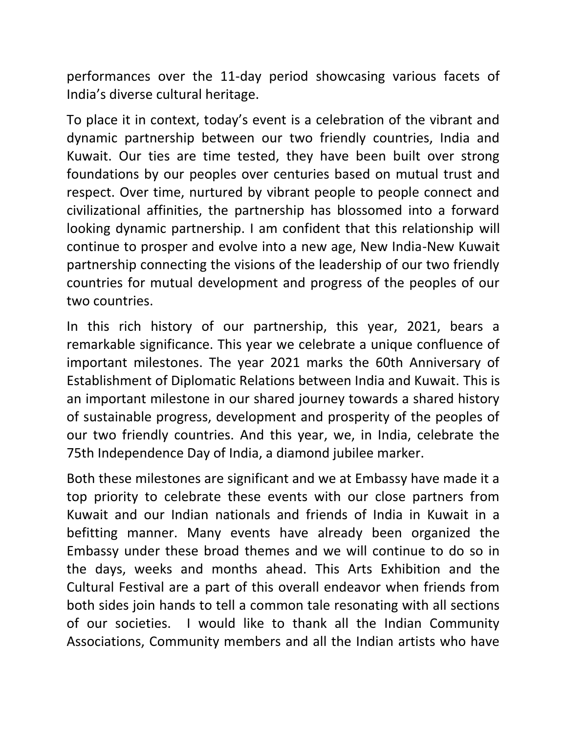performances over the 11-day period showcasing various facets of India's diverse cultural heritage.

To place it in context, today's event is a celebration of the vibrant and dynamic partnership between our two friendly countries, India and Kuwait. Our ties are time tested, they have been built over strong foundations by our peoples over centuries based on mutual trust and respect. Over time, nurtured by vibrant people to people connect and civilizational affinities, the partnership has blossomed into a forward looking dynamic partnership. I am confident that this relationship will continue to prosper and evolve into a new age, New India-New Kuwait partnership connecting the visions of the leadership of our two friendly countries for mutual development and progress of the peoples of our two countries.

In this rich history of our partnership, this year, 2021, bears a remarkable significance. This year we celebrate a unique confluence of important milestones. The year 2021 marks the 60th Anniversary of Establishment of Diplomatic Relations between India and Kuwait. This is an important milestone in our shared journey towards a shared history of sustainable progress, development and prosperity of the peoples of our two friendly countries. And this year, we, in India, celebrate the 75th Independence Day of India, a diamond jubilee marker.

Both these milestones are significant and we at Embassy have made it a top priority to celebrate these events with our close partners from Kuwait and our Indian nationals and friends of India in Kuwait in a befitting manner. Many events have already been organized the Embassy under these broad themes and we will continue to do so in the days, weeks and months ahead. This Arts Exhibition and the Cultural Festival are a part of this overall endeavor when friends from both sides join hands to tell a common tale resonating with all sections of our societies. I would like to thank all the Indian Community Associations, Community members and all the Indian artists who have